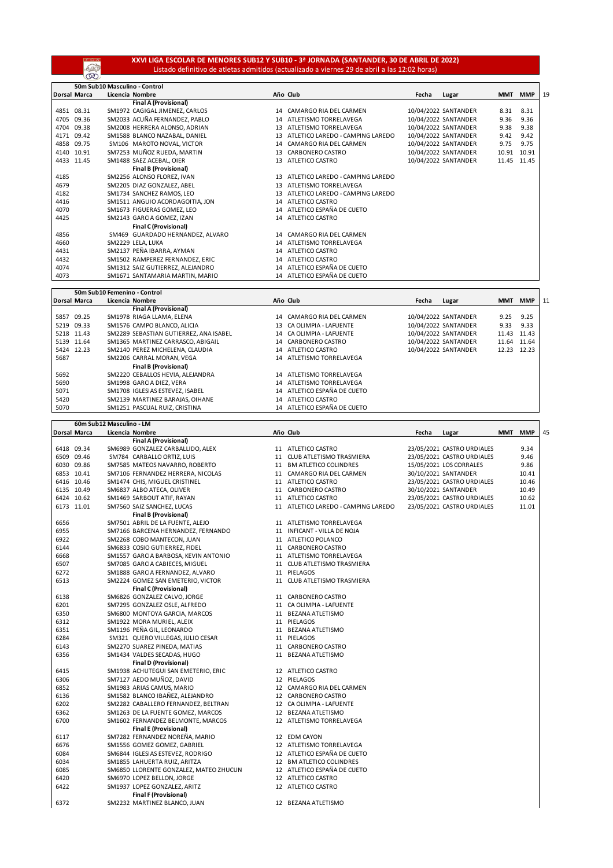## **XXVI LIGA ESCOLAR DE MENORES SUB12 Y SUB10 - 3ª JORNADA (SANTANDER, 30 DE ABRIL DE 2022)** Listado definitivo de atletas admitidos (actualizado a viernes 29 de abril a las 12:02 horas)

**REA** 

|      | 50m Sub10 Masculino - Control |                                  |                                        |       |                      |            |            |    |  |  |
|------|-------------------------------|----------------------------------|----------------------------------------|-------|----------------------|------------|------------|----|--|--|
|      | <b>Dorsal Marca</b>           | Licencia Nombre                  | Año Club                               | Fecha | Lugar                | <b>MMT</b> | <b>MMP</b> | 19 |  |  |
|      |                               | <b>Final A (Provisional)</b>     |                                        |       |                      |            |            |    |  |  |
|      | 4851 08.31                    | SM1972 CAGIGAL JIMENEZ, CARLOS   | 14 CAMARGO RIA DEL CARMEN              |       | 10/04/2022 SANTANDER | 8.31       | 8.31       |    |  |  |
| 4705 | 09.36                         | SM2033 ACUÑA FERNANDEZ, PABLO    | 14 ATLETISMO TORRELAVEGA               |       | 10/04/2022 SANTANDER | 9.36       | 9.36       |    |  |  |
| 4704 | 09.38                         | SM2008 HERRERA ALONSO, ADRIAN    | ATLETISMO TORRELAVEGA<br>13            |       | 10/04/2022 SANTANDER | 9.38       | 9.38       |    |  |  |
| 4171 | 09.42                         | SM1588 BLANCO NAZABAL, DANIEL    | ATLETICO LAREDO - CAMPING LAREDO<br>13 |       | 10/04/2022 SANTANDER | 9.42       | 9.42       |    |  |  |
| 4858 | 09.75                         | SM106 MAROTO NOVAL, VICTOR       | 14 CAMARGO RIA DEL CARMEN              |       | 10/04/2022 SANTANDER | 9.75       | 9.75       |    |  |  |
|      | 4140 10.91                    | SM7253 MUÑOZ RUEDA, MARTIN       | 13 CARBONERO CASTRO                    |       | 10/04/2022 SANTANDER | 10.91      | 10.91      |    |  |  |
|      | 4433 11.45                    | SM1488 SAEZ ACEBAL, OIER         | ATLETICO CASTRO<br>13                  |       | 10/04/2022 SANTANDER | 11.45      | 11.45      |    |  |  |
|      |                               | <b>Final B (Provisional)</b>     |                                        |       |                      |            |            |    |  |  |
| 4185 |                               | SM2256 ALONSO FLOREZ, IVAN       | 13 ATLETICO LAREDO - CAMPING LAREDO    |       |                      |            |            |    |  |  |
| 4679 |                               | SM2205 DIAZ GONZALEZ, ABEL       | 13 ATLETISMO TORRELAVEGA               |       |                      |            |            |    |  |  |
| 4182 |                               | SM1734 SANCHEZ RAMOS, LEO        | 13 ATLETICO LAREDO - CAMPING LAREDO    |       |                      |            |            |    |  |  |
| 4416 |                               | SM1511 ANGUIO ACORDAGOITIA, JON  | 14 ATLETICO CASTRO                     |       |                      |            |            |    |  |  |
| 4070 |                               | SM1673 FIGUERAS GOMEZ, LEO       | 14 ATLETICO ESPAÑA DE CUETO            |       |                      |            |            |    |  |  |
| 4425 |                               | SM2143 GARCIA GOMEZ, IZAN        | 14 ATLETICO CASTRO                     |       |                      |            |            |    |  |  |
|      |                               | <b>Final C (Provisional)</b>     |                                        |       |                      |            |            |    |  |  |
| 4856 |                               | SM469 GUARDADO HERNANDEZ, ALVARO | 14 CAMARGO RIA DEL CARMEN              |       |                      |            |            |    |  |  |
| 4660 |                               | SM2229 LELA, LUKA                | 14 ATLETISMO TORRELAVEGA               |       |                      |            |            |    |  |  |
| 4431 |                               | SM2137 PEÑA IBARRA, AYMAN        | 14 ATLETICO CASTRO                     |       |                      |            |            |    |  |  |
| 4432 |                               | SM1502 RAMPEREZ FERNANDEZ, ERIC  | 14 ATLETICO CASTRO                     |       |                      |            |            |    |  |  |
| 4074 |                               | SM1312 SAIZ GUTIERREZ, ALEJANDRO | 14 ATLETICO ESPAÑA DE CUETO            |       |                      |            |            |    |  |  |
| 4073 |                               | SM1671 SANTAMARIA MARTIN, MARIO  | 14 ATLETICO ESPAÑA DE CUETO            |       |                      |            |            |    |  |  |

|            | 50m Sub10 Femenino - Control |                                        |  |                             |       |                      |       |            |    |
|------------|------------------------------|----------------------------------------|--|-----------------------------|-------|----------------------|-------|------------|----|
|            | <b>Dorsal Marca</b>          | Licencia Nombre                        |  | Año Club                    | Fecha | Lugar                | MMT   | <b>MMP</b> | 11 |
|            |                              | <b>Final A (Provisional)</b>           |  |                             |       |                      |       |            |    |
|            | 5857 09.25                   | SM1978 RIAGA LLAMA, ELENA              |  | 14 CAMARGO RIA DEL CARMEN   |       | 10/04/2022 SANTANDER | 9.25  | 9.25       |    |
|            | 5219 09.33                   | SM1576 CAMPO BLANCO, ALICIA            |  | 13 CA OLIMPIA - LAFUENTE    |       | 10/04/2022 SANTANDER | 9.33  | 9.33       |    |
| 5218 11.43 |                              | SM2289 SEBASTIAN GUTIERREZ. ANA ISABEL |  | 14 CA OLIMPIA - LAFUENTE    |       | 10/04/2022 SANTANDER | 11.43 | 11.43      |    |
|            | 5139 11.64                   | SM1365 MARTINEZ CARRASCO, ABIGAIL      |  | 14 CARBONERO CASTRO         |       | 10/04/2022 SANTANDER | 11.64 | 11.64      |    |
| 5424 12.23 |                              | SM2140 PEREZ MICHELENA, CLAUDIA        |  | 14 ATLETICO CASTRO          |       | 10/04/2022 SANTANDER | 12.23 | 12.23      |    |
| 5687       |                              | SM2206 CARRAL MORAN, VEGA              |  | 14 ATLETISMO TORRELAVEGA    |       |                      |       |            |    |
|            |                              | <b>Final B (Provisional)</b>           |  |                             |       |                      |       |            |    |
| 5692       |                              | SM2220 CEBALLOS HEVIA, ALEJANDRA       |  | 14 ATLETISMO TORRELAVEGA    |       |                      |       |            |    |
| 5690       |                              | SM1998 GARCIA DIEZ. VERA               |  | 14 ATLETISMO TORRELAVEGA    |       |                      |       |            |    |
| 5071       |                              | SM1708 IGLESIAS ESTEVEZ. ISABEL        |  | 14 ATLETICO ESPAÑA DE CUETO |       |                      |       |            |    |
| 5420       |                              | SM2139 MARTINEZ BARAJAS, OIHANE        |  | 14 ATLETICO CASTRO          |       |                      |       |            |    |
| 5070       |                              | SM1251 PASCUAL RUIZ. CRISTINA          |  | 14 ATLETICO ESPAÑA DE CUETO |       |                      |       |            |    |

|      | 60m Sub12 Masculino - LM |  |                                        |  |                                     |       |                            |     |            |    |
|------|--------------------------|--|----------------------------------------|--|-------------------------------------|-------|----------------------------|-----|------------|----|
|      | Dorsal Marca             |  | Licencia Nombre                        |  | Año Club                            | Fecha | Lugar                      | MMT | <b>MMP</b> | 45 |
|      |                          |  | <b>Final A (Provisional)</b>           |  |                                     |       |                            |     |            |    |
|      | 6418 09.34               |  | SM6989 GONZALEZ CARBALLIDO, ALEX       |  | 11 ATLETICO CASTRO                  |       | 23/05/2021 CASTRO URDIALES |     | 9.34       |    |
|      | 6509 09.46               |  | SM784 CARBALLO ORTIZ, LUIS             |  | 11 CLUB ATLETISMO TRASMIERA         |       | 23/05/2021 CASTRO URDIALES |     | 9.46       |    |
|      | 6030 09.86               |  | SM7585 MATEOS NAVARRO, ROBERTO         |  | 11 BM ATLETICO COLINDRES            |       | 15/05/2021 LOS CORRALES    |     | 9.86       |    |
|      | 6853 10.41               |  | SM7106 FERNANDEZ HERRERA, NICOLAS      |  | 11 CAMARGO RIA DEL CARMEN           |       | 30/10/2021 SANTANDER       |     | 10.41      |    |
|      | 6416 10.46               |  | SM1474 CHIS, MIGUEL CRISTINEL          |  | 11 ATLETICO CASTRO                  |       | 23/05/2021 CASTRO URDIALES |     | 10.46      |    |
|      | 6135 10.49               |  | SM6837 ALBO ATECA, OLIVER              |  | 11 CARBONERO CASTRO                 |       | 30/10/2021 SANTANDER       |     | 10.49      |    |
|      | 6424 10.62               |  | SM1469 SARBOUT ATIF, RAYAN             |  | 11 ATLETICO CASTRO                  |       | 23/05/2021 CASTRO URDIALES |     | 10.62      |    |
|      | 6173 11.01               |  | SM7560 SAIZ SANCHEZ, LUCAS             |  | 11 ATLETICO LAREDO - CAMPING LAREDO |       | 23/05/2021 CASTRO URDIALES |     | 11.01      |    |
|      |                          |  | <b>Final B (Provisional)</b>           |  |                                     |       |                            |     |            |    |
| 6656 |                          |  | SM7501 ABRIL DE LA FUENTE, ALEJO       |  | 11 ATLETISMO TORRELAVEGA            |       |                            |     |            |    |
| 6955 |                          |  | SM7166 BARCENA HERNANDEZ, FERNANDO     |  | 11 INFICANT - VILLA DE NOJA         |       |                            |     |            |    |
| 6922 |                          |  | SM2268 COBO MANTECON, JUAN             |  | 11 ATLETICO POLANCO                 |       |                            |     |            |    |
| 6144 |                          |  | SM6833 COSIO GUTIERREZ, FIDEL          |  | 11 CARBONERO CASTRO                 |       |                            |     |            |    |
| 6668 |                          |  | SM1557 GARCIA BARBOSA, KEVIN ANTONIO   |  | 11 ATLETISMO TORRELAVEGA            |       |                            |     |            |    |
|      |                          |  |                                        |  |                                     |       |                            |     |            |    |
| 6507 |                          |  | SM7085 GARCIA CABIECES, MIGUEL         |  | 11 CLUB ATLETISMO TRASMIERA         |       |                            |     |            |    |
| 6272 |                          |  | SM1888 GARCIA FERNANDEZ, ALVARO        |  | 11 PIELAGOS                         |       |                            |     |            |    |
| 6513 |                          |  | SM2224 GOMEZ SAN EMETERIO, VICTOR      |  | 11 CLUB ATLETISMO TRASMIERA         |       |                            |     |            |    |
|      |                          |  | <b>Final C (Provisional)</b>           |  |                                     |       |                            |     |            |    |
| 6138 |                          |  | SM6826 GONZALEZ CALVO, JORGE           |  | 11 CARBONERO CASTRO                 |       |                            |     |            |    |
| 6201 |                          |  | SM7295 GONZALEZ OSLE, ALFREDO          |  | 11 CA OLIMPIA - LAFUENTE            |       |                            |     |            |    |
| 6350 |                          |  | SM6800 MONTOYA GARCIA, MARCOS          |  | 11 BEZANA ATLETISMO                 |       |                            |     |            |    |
| 6312 |                          |  | SM1922 MORA MURIEL, ALEIX              |  | 11 PIELAGOS                         |       |                            |     |            |    |
| 6351 |                          |  | SM1196 PEÑA GIL, LEONARDO              |  | 11 BEZANA ATLETISMO                 |       |                            |     |            |    |
| 6284 |                          |  | SM321 QUERO VILLEGAS, JULIO CESAR      |  | 11 PIELAGOS                         |       |                            |     |            |    |
| 6143 |                          |  | SM2270 SUAREZ PINEDA, MATIAS           |  | 11 CARBONERO CASTRO                 |       |                            |     |            |    |
| 6356 |                          |  | SM1434 VALDES SECADAS, HUGO            |  | 11 BEZANA ATLETISMO                 |       |                            |     |            |    |
|      |                          |  | <b>Final D (Provisional)</b>           |  |                                     |       |                            |     |            |    |
| 6415 |                          |  | SM1938 ACHUTEGUI SAN EMETERIO, ERIC    |  | 12 ATLETICO CASTRO                  |       |                            |     |            |    |
| 6306 |                          |  | SM7127 AEDO MUÑOZ, DAVID               |  | 12 PIELAGOS                         |       |                            |     |            |    |
| 6852 |                          |  | SM1983 ARIAS CAMUS, MARIO              |  | 12 CAMARGO RIA DEL CARMEN           |       |                            |     |            |    |
| 6136 |                          |  | SM1582 BLANCO IBAÑEZ, ALEJANDRO        |  | 12 CARBONERO CASTRO                 |       |                            |     |            |    |
| 6202 |                          |  | SM2282 CABALLERO FERNANDEZ, BELTRAN    |  | 12 CA OLIMPIA - LAFUENTE            |       |                            |     |            |    |
| 6362 |                          |  | SM1263 DE LA FUENTE GOMEZ, MARCOS      |  | 12 BEZANA ATLETISMO                 |       |                            |     |            |    |
| 6700 |                          |  | SM1602 FERNANDEZ BELMONTE, MARCOS      |  | 12 ATLETISMO TORRELAVEGA            |       |                            |     |            |    |
|      |                          |  | <b>Final E (Provisional)</b>           |  |                                     |       |                            |     |            |    |
| 6117 |                          |  | SM7282 FERNANDEZ NOREÑA, MARIO         |  | 12 EDM CAYON                        |       |                            |     |            |    |
| 6676 |                          |  | SM1556 GOMEZ GOMEZ, GABRIEL            |  | 12 ATLETISMO TORRELAVEGA            |       |                            |     |            |    |
| 6084 |                          |  | SM6844 IGLESIAS ESTEVEZ, RODRIGO       |  | 12 ATLETICO ESPAÑA DE CUETO         |       |                            |     |            |    |
| 6034 |                          |  | SM1855 LAHUERTA RUIZ, ARITZA           |  | 12 BM ATLETICO COLINDRES            |       |                            |     |            |    |
| 6085 |                          |  | SM6850 LLORENTE GONZALEZ, MATEO ZHUCUN |  | 12 ATLETICO ESPAÑA DE CUETO         |       |                            |     |            |    |
| 6420 |                          |  | SM6970 LOPEZ BELLON, JORGE             |  | 12 ATLETICO CASTRO                  |       |                            |     |            |    |
| 6422 |                          |  | SM1937 LOPEZ GONZALEZ, ARITZ           |  | 12 ATLETICO CASTRO                  |       |                            |     |            |    |
|      |                          |  | <b>Final F (Provisional)</b>           |  |                                     |       |                            |     |            |    |
| 6372 |                          |  | SM2232 MARTINEZ BLANCO, JUAN           |  | 12 BEZANA ATLETISMO                 |       |                            |     |            |    |
|      |                          |  |                                        |  |                                     |       |                            |     |            |    |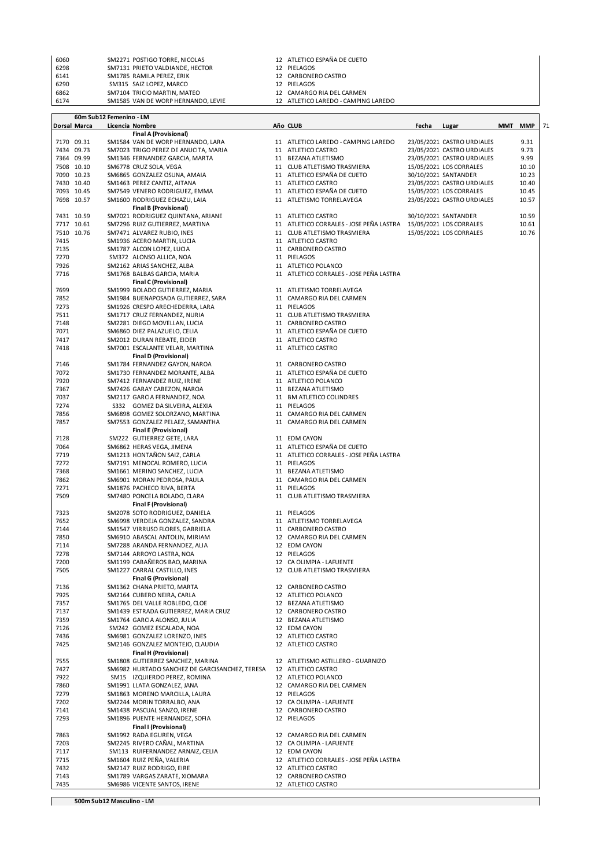| 6060 | SM2271 POSTIGO TORRE, NICOLAS      | 12 ATLETICO ESPAÑA DE CUETO         |
|------|------------------------------------|-------------------------------------|
| 6298 | SM7131 PRIETO VALDIANDE, HECTOR    | 12 PIELAGOS                         |
| 6141 | SM1785 RAMILA PEREZ, ERIK          | 12 CARBONERO CASTRO                 |
| 6290 | SM315 SAIZ LOPEZ. MARCO            | 12 PIELAGOS                         |
| 6862 | SM7104 TRICIO MARTIN, MATEO        | 12 CAMARGO RIA DEL CARMEN           |
| 6174 | SM1585 VAN DE WORP HERNANDO. LEVIE | 12 ATLETICO LAREDO - CAMPING LAREDO |

|              |              | 60m Sub12 Femenino - LM |                                                                        |                                                               |       |                            |     |            |    |
|--------------|--------------|-------------------------|------------------------------------------------------------------------|---------------------------------------------------------------|-------|----------------------------|-----|------------|----|
|              | Dorsal Marca |                         | Licencia Nombre                                                        | Año CLUB                                                      | Fecha | Lugar                      | MMT | <b>MMP</b> | 71 |
|              |              |                         | <b>Final A (Provisional)</b>                                           |                                                               |       |                            |     |            |    |
|              | 7170 09.31   |                         | SM1584 VAN DE WORP HERNANDO, LARA                                      | 11 ATLETICO LAREDO - CAMPING LAREDO                           |       | 23/05/2021 CASTRO URDIALES |     | 9.31       |    |
|              | 7434 09.73   |                         | SM7023 TRIGO PEREZ DE ANUCITA, MARIA                                   | 11 ATLETICO CASTRO                                            |       | 23/05/2021 CASTRO URDIALES |     | 9.73       |    |
|              | 7364 09.99   |                         | SM1346 FERNANDEZ GARCIA, MARTA                                         | 11 BEZANA ATLETISMO                                           |       | 23/05/2021 CASTRO URDIALES |     | 9.99       |    |
|              | 7508 10.10   |                         | SM6778 CRUZ SOLA, VEGA                                                 | 11 CLUB ATLETISMO TRASMIERA                                   |       | 15/05/2021 LOS CORRALES    |     | 10.10      |    |
|              | 7090 10.23   |                         | SM6865 GONZALEZ OSUNA, AMAIA                                           | 11 ATLETICO ESPAÑA DE CUETO                                   |       | 30/10/2021 SANTANDER       |     | 10.23      |    |
|              | 7430 10.40   |                         | SM1463 PEREZ CANTIZ, AITANA                                            | 11 ATLETICO CASTRO                                            |       | 23/05/2021 CASTRO URDIALES |     | 10.40      |    |
|              | 7093 10.45   |                         | SM7549 VENERO RODRIGUEZ, EMMA                                          | 11 ATLETICO ESPAÑA DE CUETO                                   |       | 15/05/2021 LOS CORRALES    |     | 10.45      |    |
|              | 7698 10.57   |                         | SM1600 RODRIGUEZ ECHAZU, LAIA<br><b>Final B (Provisional)</b>          | 11 ATLETISMO TORRELAVEGA                                      |       | 23/05/2021 CASTRO URDIALES |     | 10.57      |    |
|              | 7431 10.59   |                         | SM7021 RODRIGUEZ QUINTANA, ARIANE                                      | 11 ATLETICO CASTRO                                            |       | 30/10/2021 SANTANDER       |     | 10.59      |    |
|              | 7717 10.61   |                         | SM7296 RUIZ GUTIERREZ, MARTINA                                         | 11 ATLETICO CORRALES - JOSE PEÑA LASTRA                       |       | 15/05/2021 LOS CORRALES    |     | 10.61      |    |
|              | 7510 10.76   |                         | SM7471 ALVAREZ RUBIO, INES                                             | 11 CLUB ATLETISMO TRASMIERA                                   |       | 15/05/2021 LOS CORRALES    |     | 10.76      |    |
| 7415         |              |                         | SM1936 ACERO MARTIN, LUCIA                                             | 11 ATLETICO CASTRO                                            |       |                            |     |            |    |
| 7135         |              |                         | SM1787 ALCON LOPEZ, LUCIA                                              | 11 CARBONERO CASTRO                                           |       |                            |     |            |    |
| 7270         |              |                         | SM372 ALONSO ALLICA, NOA                                               | 11 PIELAGOS                                                   |       |                            |     |            |    |
| 7926         |              |                         | SM2162 ARIAS SANCHEZ, ALBA                                             | 11 ATLETICO POLANCO                                           |       |                            |     |            |    |
| 7716         |              |                         | SM1768 BALBAS GARCIA, MARIA                                            | 11 ATLETICO CORRALES - JOSE PEÑA LASTRA                       |       |                            |     |            |    |
|              |              |                         | <b>Final C (Provisional)</b>                                           |                                                               |       |                            |     |            |    |
| 7699         |              |                         | SM1999 BOLADO GUTIERREZ, MARIA                                         | 11 ATLETISMO TORRELAVEGA                                      |       |                            |     |            |    |
| 7852         |              |                         | SM1984 BUENAPOSADA GUTIERREZ, SARA                                     | 11 CAMARGO RIA DEL CARMEN                                     |       |                            |     |            |    |
| 7273         |              |                         | SM1926 CRESPO ARECHEDERRA, LARA                                        | 11 PIELAGOS                                                   |       |                            |     |            |    |
| 7511         |              |                         | SM1717 CRUZ FERNANDEZ, NURIA                                           | 11 CLUB ATLETISMO TRASMIERA                                   |       |                            |     |            |    |
| 7148         |              |                         | SM2281 DIEGO MOVELLAN, LUCIA                                           | 11 CARBONERO CASTRO                                           |       |                            |     |            |    |
| 7071         |              |                         | SM6860 DIEZ PALAZUELO, CELIA                                           | 11 ATLETICO ESPAÑA DE CUETO                                   |       |                            |     |            |    |
| 7417         |              |                         | SM2012 DURAN REBATE, EIDER                                             | 11 ATLETICO CASTRO                                            |       |                            |     |            |    |
| 7418         |              |                         | SM7001 ESCALANTE VELAR, MARTINA                                        | 11 ATLETICO CASTRO                                            |       |                            |     |            |    |
|              |              |                         | <b>Final D (Provisional)</b>                                           |                                                               |       |                            |     |            |    |
| 7146         |              |                         | SM1784 FERNANDEZ GAYON, NAROA                                          | 11 CARBONERO CASTRO                                           |       |                            |     |            |    |
| 7072         |              |                         | SM1730 FERNANDEZ MORANTE, ALBA                                         | 11 ATLETICO ESPAÑA DE CUETO                                   |       |                            |     |            |    |
| 7920         |              |                         | SM7412 FERNANDEZ RUIZ, IRENE                                           | 11 ATLETICO POLANCO                                           |       |                            |     |            |    |
| 7367         |              |                         | SM7426 GARAY CABEZON, NAROA                                            | 11 BEZANA ATLETISMO                                           |       |                            |     |            |    |
| 7037         |              |                         | SM2117 GARCIA FERNANDEZ, NOA                                           | 11 BM ATLETICO COLINDRES                                      |       |                            |     |            |    |
| 7274         |              |                         | S332 GOMEZ DA SILVEIRA, ALEXIA                                         | 11 PIELAGOS                                                   |       |                            |     |            |    |
| 7856         |              |                         | SM6898 GOMEZ SOLORZANO, MARTINA<br>SM7553 GONZALEZ PELAEZ, SAMANTHA    | 11 CAMARGO RIA DEL CARMEN<br>11 CAMARGO RIA DEL CARMEN        |       |                            |     |            |    |
| 7857         |              |                         | <b>Final E (Provisional)</b>                                           |                                                               |       |                            |     |            |    |
| 7128         |              |                         | SM222 GUTIERREZ GETE, LARA                                             | 11 EDM CAYON                                                  |       |                            |     |            |    |
| 7064         |              |                         | SM6862 HERAS VEGA, JIMENA                                              | 11 ATLETICO ESPAÑA DE CUETO                                   |       |                            |     |            |    |
| 7719         |              |                         | SM1213 HONTAÑON SAIZ, CARLA                                            | 11 ATLETICO CORRALES - JOSE PEÑA LASTRA                       |       |                            |     |            |    |
| 7272         |              |                         | SM7191 MENOCAL ROMERO, LUCIA                                           | 11 PIELAGOS                                                   |       |                            |     |            |    |
| 7368         |              |                         | SM1661 MERINO SANCHEZ, LUCIA                                           | 11 BEZANA ATLETISMO                                           |       |                            |     |            |    |
| 7862         |              |                         | SM6901 MORAN PEDROSA, PAULA                                            | 11 CAMARGO RIA DEL CARMEN                                     |       |                            |     |            |    |
| 7271         |              |                         | SM1876 PACHECO RIVA, BERTA                                             | 11 PIELAGOS                                                   |       |                            |     |            |    |
| 7509         |              |                         | SM7480 PONCELA BOLADO, CLARA                                           | 11 CLUB ATLETISMO TRASMIERA                                   |       |                            |     |            |    |
|              |              |                         | <b>Final F (Provisional)</b>                                           |                                                               |       |                            |     |            |    |
| 7323         |              |                         | SM2078 SOTO RODRIGUEZ, DANIELA                                         | 11 PIELAGOS                                                   |       |                            |     |            |    |
| 7652         |              |                         | SM6998 VERDEJA GONZALEZ, SANDRA                                        | 11 ATLETISMO TORRELAVEGA                                      |       |                            |     |            |    |
| 7144         |              |                         | SM1547 VIRRUSO FLORES, GABRIELA                                        | 11 CARBONERO CASTRO                                           |       |                            |     |            |    |
| 7850         |              |                         | SM6910 ABASCAL ANTOLIN, MIRIAM                                         | 12 CAMARGO RIA DEL CARMEN                                     |       |                            |     |            |    |
| 7114         |              |                         | SM7288 ARANDA FERNANDEZ, ALIA                                          | 12 EDM CAYON                                                  |       |                            |     |            |    |
| 7278         |              |                         | SM7144 ARROYO LASTRA, NOA                                              | 12 PIELAGOS                                                   |       |                            |     |            |    |
| 7200         |              |                         | SM1199 CABAÑEROS BAO, MARINA                                           | 12 CA OLIMPIA - LAFUENTE                                      |       |                            |     |            |    |
| 7505         |              |                         | SM1227 CARRAL CASTILLO, INES                                           | 12 CLUB ATLETISMO TRASMIERA                                   |       |                            |     |            |    |
|              |              |                         | <b>Final G (Provisional)</b>                                           |                                                               |       |                            |     |            |    |
| 7136         |              |                         | SM1362 CHANA PRIETO, MARTA                                             | 12 CARBONERO CASTRO                                           |       |                            |     |            |    |
| 7925         |              |                         | SM2164 CUBERO NEIRA, CARLA                                             | 12 ATLETICO POLANCO                                           |       |                            |     |            |    |
| 7357<br>7137 |              |                         | SM1765 DEL VALLE ROBLEDO, CLOE<br>SM1439 ESTRADA GUTIERREZ, MARIA CRUZ | 12 BEZANA ATLETISMO<br>12 CARBONERO CASTRO                    |       |                            |     |            |    |
| 7359         |              |                         | SM1764 GARCIA ALONSO, JULIA                                            | 12 BEZANA ATLETISMO                                           |       |                            |     |            |    |
| 7126         |              |                         | SM242 GOMEZ ESCALADA, NOA                                              | 12 EDM CAYON                                                  |       |                            |     |            |    |
| 7436         |              |                         | SM6981 GONZALEZ LORENZO, INES                                          | 12 ATLETICO CASTRO                                            |       |                            |     |            |    |
| 7425         |              |                         | SM2146 GONZALEZ MONTEJO, CLAUDIA                                       | 12 ATLETICO CASTRO                                            |       |                            |     |            |    |
|              |              |                         | <b>Final H (Provisional)</b>                                           |                                                               |       |                            |     |            |    |
| 7555         |              |                         | SM1808 GUTIERREZ SANCHEZ, MARINA                                       | 12 ATLETISMO ASTILLERO - GUARNIZO                             |       |                            |     |            |    |
| 7427         |              |                         | SM6982 HURTADO SANCHEZ DE GARCISANCHEZ. TERESA                         | 12 ATLETICO CASTRO                                            |       |                            |     |            |    |
| 7922         |              |                         | SM15 IZQUIERDO PEREZ, ROMINA                                           | 12 ATLETICO POLANCO                                           |       |                            |     |            |    |
| 7860         |              |                         | SM1991 LLATA GONZALEZ, JANA                                            | 12 CAMARGO RIA DEL CARMEN                                     |       |                            |     |            |    |
| 7279         |              |                         | SM1863 MORENO MARCILLA, LAURA                                          | 12 PIELAGOS                                                   |       |                            |     |            |    |
| 7202         |              |                         | SM2244 MORIN TORRALBO, ANA                                             | 12 CA OLIMPIA - LAFUENTE                                      |       |                            |     |            |    |
| 7141         |              |                         | SM1438 PASCUAL SANZO, IRENE                                            | 12 CARBONERO CASTRO                                           |       |                            |     |            |    |
| 7293         |              |                         | SM1896 PUENTE HERNANDEZ, SOFIA                                         | 12 PIELAGOS                                                   |       |                            |     |            |    |
|              |              |                         | Final I (Provisional)                                                  |                                                               |       |                            |     |            |    |
| 7863         |              |                         | SM1992 RADA EGUREN, VEGA                                               | 12 CAMARGO RIA DEL CARMEN                                     |       |                            |     |            |    |
| 7203         |              |                         | SM2245 RIVERO CAÑAL, MARTINA                                           | 12 CA OLIMPIA - LAFUENTE                                      |       |                            |     |            |    |
| 7117         |              |                         | SM113 RUIFERNANDEZ ARNAIZ, CELIA                                       | 12 EDM CAYON                                                  |       |                            |     |            |    |
| 7715<br>7432 |              |                         | SM1604 RUIZ PEÑA, VALERIA<br>SM2147 RUIZ RODRIGO, EIRE                 | 12 ATLETICO CORRALES - JOSE PEÑA LASTRA<br>12 ATLETICO CASTRO |       |                            |     |            |    |
| 7143         |              |                         | SM1789 VARGAS ZARATE, XIOMARA                                          | 12 CARBONERO CASTRO                                           |       |                            |     |            |    |
| 7435         |              |                         | SM6986 VICENTE SANTOS, IRENE                                           | 12 ATLETICO CASTRO                                            |       |                            |     |            |    |
|              |              |                         |                                                                        |                                                               |       |                            |     |            |    |

**500m Sub12 Masculino - LM**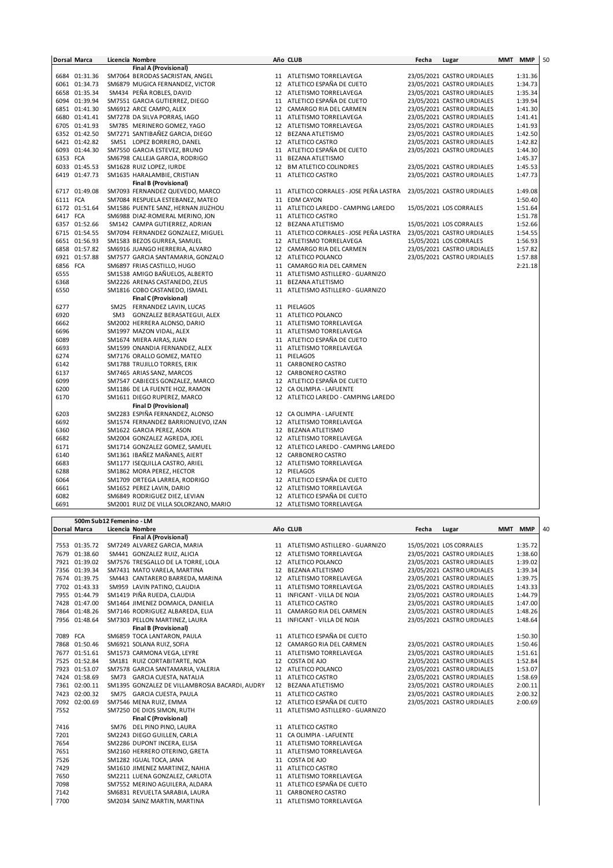|          | <b>Dorsal Marca</b> |                 | Licencia Nombre                       | Año CLUB                                | Fecha | Lugar                      | MMT | <b>MMP</b> | 50 |
|----------|---------------------|-----------------|---------------------------------------|-----------------------------------------|-------|----------------------------|-----|------------|----|
|          |                     |                 | Final A (Provisional)                 |                                         |       |                            |     |            |    |
|          | 6684 01:31.36       |                 | SM7064 BERODAS SACRISTAN, ANGEL       | 11 ATLETISMO TORRELAVEGA                |       | 23/05/2021 CASTRO URDIALES |     | 1:31.36    |    |
|          | 6061 01:34.73       |                 | SM6879 MUGICA FERNANDEZ, VICTOR       | 12 ATLETICO ESPAÑA DE CUETO             |       | 23/05/2021 CASTRO URDIALES |     | 1:34.73    |    |
|          | 6658 01:35.34       |                 | SM434 PEÑA ROBLES, DAVID              | 12 ATLETISMO TORRELAVEGA                |       | 23/05/2021 CASTRO URDIALES |     | 1:35.34    |    |
|          | 6094 01:39.94       |                 | SM7551 GARCIA GUTIERREZ, DIEGO        | 11 ATLETICO ESPAÑA DE CUETO             |       | 23/05/2021 CASTRO URDIALES |     | 1:39.94    |    |
|          | 6851 01:41.30       |                 | SM6912 ARCE CAMPO, ALEX               | 12 CAMARGO RIA DEL CARMEN               |       | 23/05/2021 CASTRO URDIALES |     | 1:41.30    |    |
|          | 6680 01:41.41       |                 | SM7278 DA SILVA PORRAS, IAGO          | 11 ATLETISMO TORRELAVEGA                |       | 23/05/2021 CASTRO URDIALES |     | 1:41.41    |    |
|          | 6705 01:41.93       |                 | SM785 MERINERO GOMEZ, YAGO            | 12 ATLETISMO TORRELAVEGA                |       | 23/05/2021 CASTRO URDIALES |     | 1:41.93    |    |
|          | 6352 01:42.50       |                 | SM7271 SANTIBAÑEZ GARCIA, DIEGO       | 12 BEZANA ATLETISMO                     |       | 23/05/2021 CASTRO URDIALES |     | 1:42.50    |    |
|          | 6421 01:42.82       |                 | SM51 LOPEZ BORRERO, DANEL             | 12 ATLETICO CASTRO                      |       | 23/05/2021 CASTRO URDIALES |     | 1:42.82    |    |
|          | 6093 01:44.30       |                 | SM7550 GARCIA ESTEVEZ, BRUNO          | 11 ATLETICO ESPAÑA DE CUETO             |       | 23/05/2021 CASTRO URDIALES |     | 1:44.30    |    |
| 6353 FCA |                     |                 | SM6798 CALLEJA GARCIA, RODRIGO        | 11 BEZANA ATLETISMO                     |       |                            |     | 1:45.37    |    |
|          | 6033 01:45.53       |                 | SM1628 RUIZ LOPEZ, IURDE              | 12 BM ATLETICO COLINDRES                |       | 23/05/2021 CASTRO URDIALES |     | 1:45.53    |    |
|          | 6419 01:47.73       |                 | SM1635 HARALAMBIE, CRISTIAN           | 11 ATLETICO CASTRO                      |       | 23/05/2021 CASTRO URDIALES |     | 1:47.73    |    |
|          |                     |                 | <b>Final B (Provisional)</b>          |                                         |       |                            |     |            |    |
|          | 6717 01:49.08       |                 | SM7093 FERNANDEZ QUEVEDO, MARCO       | 11 ATLETICO CORRALES - JOSE PEÑA LASTRA |       | 23/05/2021 CASTRO URDIALES |     | 1:49.08    |    |
| 6111 FCA |                     |                 | SM7084 RESPUELA ESTEBANEZ, MATEO      | 11 EDM CAYON                            |       |                            |     | 1:50.40    |    |
|          | 6172 01:51.64       |                 | SM1586 PUENTE SANZ, HERNAN JIUZHOU    | 11 ATLETICO LAREDO - CAMPING LAREDO     |       | 15/05/2021 LOS CORRALES    |     | 1:51.64    |    |
| 6417 FCA |                     |                 | SM6988 DIAZ-ROMERAL MERINO, JON       | 11 ATLETICO CASTRO                      |       |                            |     | 1:51.78    |    |
|          | 6357 01:52.66       |                 | SM142 CAMPA GUTIERREZ, ADRIAN         | 12 BEZANA ATLETISMO                     |       | 15/05/2021 LOS CORRALES    |     | 1:52.66    |    |
|          | 6715 01:54.55       |                 | SM7094 FERNANDEZ GONZALEZ, MIGUEL     | 11 ATLETICO CORRALES - JOSE PEÑA LASTRA |       | 23/05/2021 CASTRO URDIALES |     | 1:54.55    |    |
|          | 6651 01:56.93       |                 | SM1583 BEZOS GURREA, SAMUEL           | 12 ATLETISMO TORRELAVEGA                |       | 15/05/2021 LOS CORRALES    |     | 1:56.93    |    |
|          | 6858 01:57.82       |                 | SM6916 JUANGO HERRERIA, ALVARO        | 12 CAMARGO RIA DEL CARMEN               |       | 23/05/2021 CASTRO URDIALES |     | 1:57.82    |    |
|          | 6921 01:57.88       |                 | SM7577 GARCIA SANTAMARIA, GONZALO     | 12 ATLETICO POLANCO                     |       | 23/05/2021 CASTRO URDIALES |     | 1:57.88    |    |
| 6856 FCA |                     |                 |                                       |                                         |       |                            |     | 2:21.18    |    |
|          |                     |                 | SM6897 FRIAS CASTILLO, HUGO           | 11 CAMARGO RIA DEL CARMEN               |       |                            |     |            |    |
| 6555     |                     |                 | SM1538 AMIGO BAÑUELOS, ALBERTO        | 11 ATLETISMO ASTILLERO - GUARNIZO       |       |                            |     |            |    |
| 6368     |                     |                 | SM2226 ARENAS CASTANEDO, ZEUS         | 11 BEZANA ATLETISMO                     |       |                            |     |            |    |
| 6550     |                     |                 | SM1816 COBO CASTANEDO, ISMAEL         | 11 ATLETISMO ASTILLERO - GUARNIZO       |       |                            |     |            |    |
|          |                     |                 | <b>Final C (Provisional)</b>          |                                         |       |                            |     |            |    |
| 6277     |                     |                 | SM25 FERNANDEZ LAVIN, LUCAS           | 11 PIELAGOS                             |       |                            |     |            |    |
| 6920     |                     | SM <sub>3</sub> | GONZALEZ BERASATEGUI, ALEX            | 11 ATLETICO POLANCO                     |       |                            |     |            |    |
| 6662     |                     |                 | SM2002 HERRERA ALONSO, DARIO          | 11 ATLETISMO TORRELAVEGA                |       |                            |     |            |    |
| 6696     |                     |                 | SM1997 MAZON VIDAL, ALEX              | 11 ATLETISMO TORRELAVEGA                |       |                            |     |            |    |
| 6089     |                     |                 | SM1674 MIERA AIRAS, JUAN              | 11 ATLETICO ESPAÑA DE CUETO             |       |                            |     |            |    |
| 6693     |                     |                 | SM1599 ONANDIA FERNANDEZ, ALEX        | 11 ATLETISMO TORRELAVEGA                |       |                            |     |            |    |
| 6274     |                     |                 | SM7176 ORALLO GOMEZ, MATEO            | 11 PIELAGOS                             |       |                            |     |            |    |
| 6142     |                     |                 | SM1788 TRUJILLO TORRES, ERIK          | 11 CARBONERO CASTRO                     |       |                            |     |            |    |
| 6137     |                     |                 | SM7465 ARIAS SANZ, MARCOS             | 12 CARBONERO CASTRO                     |       |                            |     |            |    |
| 6099     |                     |                 | SM7547 CABIECES GONZALEZ, MARCO       | 12 ATLETICO ESPAÑA DE CUETO             |       |                            |     |            |    |
| 6200     |                     |                 | SM1186 DE LA FUENTE HOZ, RAMON        | 12 CA OLIMPIA - LAFUENTE                |       |                            |     |            |    |
| 6170     |                     |                 | SM1611 DIEGO RUPEREZ, MARCO           | 12 ATLETICO LAREDO - CAMPING LAREDO     |       |                            |     |            |    |
|          |                     |                 | <b>Final D (Provisional)</b>          |                                         |       |                            |     |            |    |
| 6203     |                     |                 | SM2283 ESPIÑA FERNANDEZ, ALONSO       | 12 CA OLIMPIA - LAFUENTE                |       |                            |     |            |    |
| 6692     |                     |                 | SM1574 FERNANDEZ BARRIONUEVO, IZAN    | 12 ATLETISMO TORRELAVEGA                |       |                            |     |            |    |
| 6360     |                     |                 | SM1622 GARCIA PEREZ, ASON             | 12 BEZANA ATLETISMO                     |       |                            |     |            |    |
| 6682     |                     |                 | SM2004 GONZALEZ AGREDA, JOEL          | 12 ATLETISMO TORRELAVEGA                |       |                            |     |            |    |
| 6171     |                     |                 | SM1714 GONZALEZ GOMEZ, SAMUEL         | 12 ATLETICO LAREDO - CAMPING LAREDO     |       |                            |     |            |    |
| 6140     |                     |                 | SM1361 IBAÑEZ MAÑANES, AIERT          | 12 CARBONERO CASTRO                     |       |                            |     |            |    |
| 6683     |                     |                 | SM1177 ISEQUILLA CASTRO, ARIEL        | 12 ATLETISMO TORRELAVEGA                |       |                            |     |            |    |
| 6288     |                     |                 | SM1862 MORA PEREZ, HECTOR             | 12 PIELAGOS                             |       |                            |     |            |    |
| 6064     |                     |                 | SM1709 ORTEGA LARREA, RODRIGO         | 12 ATLETICO ESPAÑA DE CUETO             |       |                            |     |            |    |
| 6661     |                     |                 | SM1652 PEREZ LAVIN, DARIO             | 12 ATLETISMO TORRELAVEGA                |       |                            |     |            |    |
| 6082     |                     |                 | SM6849 RODRIGUEZ DIEZ, LEVIAN         | 12 ATLETICO ESPAÑA DE CUETO             |       |                            |     |            |    |
| 6691     |                     |                 | SM2001 RUIZ DE VILLA SOLORZANO, MARIO | 12 ATLETISMO TORRELAVEGA                |       |                            |     |            |    |

|          | 500m Sub12 Femenino - LM |  |                                                |    |                                   |       |                            |            |            |    |  |
|----------|--------------------------|--|------------------------------------------------|----|-----------------------------------|-------|----------------------------|------------|------------|----|--|
|          | <b>Dorsal Marca</b>      |  | Licencia Nombre                                |    | Año CLUB                          | Fecha | Lugar                      | <b>MMT</b> | <b>MMP</b> | 40 |  |
|          |                          |  | <b>Final A (Provisional)</b>                   |    |                                   |       |                            |            |            |    |  |
|          | 7553 01:35.72            |  | SM7249 ALVAREZ GARCIA, MARIA                   |    | 11 ATLETISMO ASTILLERO - GUARNIZO |       | 15/05/2021 LOS CORRALES    |            | 1:35.72    |    |  |
|          | 7679 01:38.60            |  | SM441 GONZALEZ RUIZ, ALICIA                    | 12 | ATLETISMO TORRELAVEGA             |       | 23/05/2021 CASTRO URDIALES |            | 1:38.60    |    |  |
|          | 7921 01:39.02            |  | SM7576 TRESGALLO DE LA TORRE, LOLA             |    | 12 ATLETICO POLANCO               |       | 23/05/2021 CASTRO URDIALES |            | 1:39.02    |    |  |
|          | 7356 01:39.34            |  | SM7431 MATO VARELA, MARTINA                    | 12 | <b>BEZANA ATLETISMO</b>           |       | 23/05/2021 CASTRO URDIALES |            | 1:39.34    |    |  |
|          | 7674 01:39.75            |  | SM443 CANTARERO BARREDA, MARINA                |    | 12 ATLETISMO TORRELAVEGA          |       | 23/05/2021 CASTRO URDIALES |            | 1:39.75    |    |  |
|          | 7702 01:43.33            |  | SM959 LAVIN PATINO, CLAUDIA                    | 11 | ATLETISMO TORRELAVEGA             |       | 23/05/2021 CASTRO URDIALES |            | 1:43.33    |    |  |
|          | 7955 01:44.79            |  | SM1419 PIÑA RUEDA, CLAUDIA                     |    | 11 INFICANT - VILLA DE NOJA       |       | 23/05/2021 CASTRO URDIALES |            | 1:44.79    |    |  |
|          | 7428 01:47.00            |  | SM1464 JIMENEZ DOMAICA, DANIELA                |    | 11 ATLETICO CASTRO                |       | 23/05/2021 CASTRO URDIALES |            | 1:47.00    |    |  |
|          | 7864 01:48.26            |  | SM7146 RODRIGUEZ ALBAREDA, ELIA                |    | 11 CAMARGO RIA DEL CARMEN         |       | 23/05/2021 CASTRO URDIALES |            | 1:48.26    |    |  |
|          | 7956 01:48.64            |  | SM7303 PELLON MARTINEZ, LAURA                  |    | 11 INFICANT - VILLA DE NOJA       |       | 23/05/2021 CASTRO URDIALES |            | 1:48.64    |    |  |
|          |                          |  | <b>Final B (Provisional)</b>                   |    |                                   |       |                            |            |            |    |  |
| 7089 FCA |                          |  | SM6859 TOCA LANTARON, PAULA                    |    | 11 ATLETICO ESPAÑA DE CUETO       |       |                            |            | 1:50.30    |    |  |
|          | 7868 01:50.46            |  | SM6921 SOLANA RUIZ, SOFIA                      |    | 12 CAMARGO RIA DEL CARMEN         |       | 23/05/2021 CASTRO URDIALES |            | 1:50.46    |    |  |
|          | 7677 01:51.61            |  | SM1573 CARMONA VEGA, LEYRE                     |    | 11 ATLETISMO TORRELAVEGA          |       | 23/05/2021 CASTRO URDIALES |            | 1:51.61    |    |  |
|          | 7525 01:52.84            |  | SM181 RUIZ CORTABITARTE, NOA                   |    | 12 COSTA DE AJO                   |       | 23/05/2021 CASTRO URDIALES |            | 1:52.84    |    |  |
|          | 7923 01:53.07            |  | SM7578 GARCIA SANTAMARIA, VALERIA              |    | 12 ATLETICO POLANCO               |       | 23/05/2021 CASTRO URDIALES |            | 1:53.07    |    |  |
|          | 7424 01:58.69            |  | SM73 GARCIA CUESTA, NATALIA                    |    | 11 ATLETICO CASTRO                |       | 23/05/2021 CASTRO URDIALES |            | 1:58.69    |    |  |
|          | 7361 02:00.11            |  | SM1395 GONZALEZ DE VILLAMBROSIA BACARDI, AUDRY |    | 12 BEZANA ATLETISMO               |       | 23/05/2021 CASTRO URDIALES |            | 2:00.11    |    |  |
|          | 7423 02:00.32            |  | SM75 GARCIA CUESTA, PAULA                      |    | 11 ATLETICO CASTRO                |       | 23/05/2021 CASTRO URDIALES |            | 2:00.32    |    |  |
| 7092     | 02:00.69                 |  | SM7546 MENA RUIZ, EMMA                         |    | 12 ATLETICO ESPAÑA DE CUETO       |       | 23/05/2021 CASTRO URDIALES |            | 2:00.69    |    |  |
| 7552     |                          |  | SM7250 DE DIOS SIMON, RUTH                     |    | 11 ATLETISMO ASTILLERO - GUARNIZO |       |                            |            |            |    |  |
|          |                          |  | <b>Final C (Provisional)</b>                   |    |                                   |       |                            |            |            |    |  |
| 7416     |                          |  | SM76 DEL PINO PINO, LAURA                      |    | 11 ATLETICO CASTRO                |       |                            |            |            |    |  |
| 7201     |                          |  | SM2243 DIEGO GUILLEN, CARLA                    |    | 11 CA OLIMPIA - LAFUENTE          |       |                            |            |            |    |  |
| 7654     |                          |  | SM2286 DUPONT INCERA, ELISA                    |    | 11 ATLETISMO TORRELAVEGA          |       |                            |            |            |    |  |
| 7651     |                          |  | SM2160 HERRERO OTERINO, GRETA                  |    | 11 ATLETISMO TORRELAVEGA          |       |                            |            |            |    |  |
| 7526     |                          |  | SM1282 IGUAL TOCA, JANA                        |    | 11 COSTA DE AJO                   |       |                            |            |            |    |  |
| 7429     |                          |  | SM1610 JIMENEZ MARTINEZ, NAHIA                 |    | 11 ATLETICO CASTRO                |       |                            |            |            |    |  |
| 7650     |                          |  | SM2211 LUENA GONZALEZ, CARLOTA                 |    | 11 ATLETISMO TORRELAVEGA          |       |                            |            |            |    |  |
| 7098     |                          |  | SM7552 MERINO AGUILERA, ALDARA                 |    | 11 ATLETICO ESPAÑA DE CUETO       |       |                            |            |            |    |  |
| 7142     |                          |  | SM6831 REVUELTA SARABIA, LAURA                 |    | 11 CARBONERO CASTRO               |       |                            |            |            |    |  |
| 7700     |                          |  | SM2034 SAINZ MARTIN, MARTINA                   |    | 11 ATLETISMO TORRELAVEGA          |       |                            |            |            |    |  |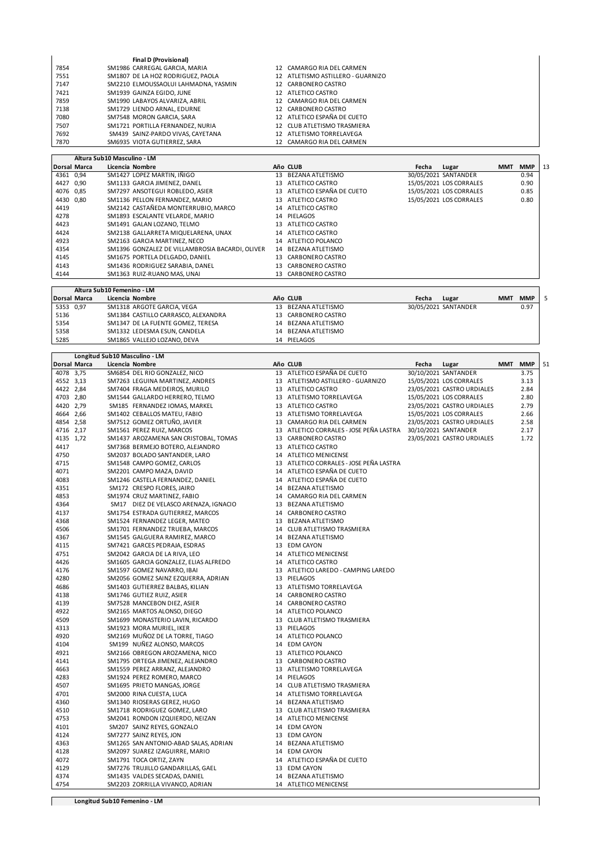|      | <b>Final D (Provisional)</b>         |                                   |  |
|------|--------------------------------------|-----------------------------------|--|
| 7854 | SM1986 CARREGAL GARCIA, MARIA        | 12 CAMARGO RIA DEL CARMEN         |  |
| 7551 | SM1807 DE LA HOZ RODRIGUEZ, PAOLA    | 12 ATLETISMO ASTILLERO - GUARNIZO |  |
| 7147 | SM2210 ELMOUSSAOLUI LAHMADNA, YASMIN | 12 CARBONERO CASTRO               |  |
| 7421 | SM1939 GAINZA EGIDO, JUNE            | 12 ATLETICO CASTRO                |  |
| 7859 | SM1990 LABAYOS ALVARIZA, ABRIL       | 12 CAMARGO RIA DEL CARMEN         |  |
| 7138 | SM1729 LIENDO ARNAL, EDURNE          | 12 CARBONERO CASTRO               |  |
| 7080 | SM7548 MORON GARCIA, SARA            | 12 ATLETICO ESPAÑA DE CUETO       |  |
| 7507 | SM1721 PORTILLA FERNANDEZ, NURIA     | 12 CLUB ATLETISMO TRASMIERA       |  |
| 7692 | SM439 SAINZ-PARDO VIVAS, CAYETANA    | 12 ATLETISMO TORRELAVEGA          |  |
| 7870 | SM6935 VIOTA GUTIERREZ, SARA         | 12 CAMARGO RIA DEL CARMEN         |  |

|           |                     | Altura Sub10 Masculino - LM                     |    |                             |       |                         |            |            |    |
|-----------|---------------------|-------------------------------------------------|----|-----------------------------|-------|-------------------------|------------|------------|----|
|           | <b>Dorsal Marca</b> | Licencia Nombre                                 |    | Año CLUB                    | Fecha | Lugar                   | <b>MMT</b> | <b>MMP</b> | 13 |
| 4361 0.94 |                     | SM1427 LOPEZ MARTIN, IÑIGO                      | 13 | BEZANA ATLETISMO            |       | 30/05/2021 SANTANDER    |            | 0.94       |    |
| 4427 0,90 |                     | SM1133 GARCIA JIMENEZ, DANEL                    | 13 | ATLETICO CASTRO             |       | 15/05/2021 LOS CORRALES |            | 0.90       |    |
| 4076 0,85 |                     | SM7297 ANSOTEGUI ROBLEDO, ASIER                 |    | 13 ATLETICO ESPAÑA DE CUETO |       | 15/05/2021 LOS CORRALES |            | 0.85       |    |
| 4430 0.80 |                     | SM1136 PELLON FERNANDEZ. MARIO                  | 13 | ATLETICO CASTRO             |       | 15/05/2021 LOS CORRALES |            | 0.80       |    |
| 4419      |                     | SM2142 CASTAÑEDA MONTERRUBIO, MARCO             |    | 14 ATLETICO CASTRO          |       |                         |            |            |    |
| 4278      |                     | SM1893 ESCALANTE VELARDE, MARIO                 |    | 14 PIELAGOS                 |       |                         |            |            |    |
| 4423      |                     | SM1491 GALAN LOZANO, TELMO                      | 13 | ATLETICO CASTRO             |       |                         |            |            |    |
| 4424      |                     | SM2138 GALLARRETA MIQUELARENA, UNAX             |    | 14 ATLETICO CASTRO          |       |                         |            |            |    |
| 4923      |                     | SM2163 GARCIA MARTINEZ, NECO                    | 14 | ATLETICO POLANCO            |       |                         |            |            |    |
| 4354      |                     | SM1396 GONZALEZ DE VILLAMBROSIA BACARDI. OLIVER | 14 | BEZANA ATLETISMO            |       |                         |            |            |    |
| 4145      |                     | SM1675 PORTELA DELGADO, DANIEL                  |    | 13 CARBONERO CASTRO         |       |                         |            |            |    |
| 4143      |                     | SM1436 RODRIGUEZ SARABIA, DANEL                 | 13 | CARBONERO CASTRO            |       |                         |            |            |    |
| 4144      |                     | SM1363 RUIZ-RUANO MAS, UNAI                     | 13 | CARBONERO CASTRO            |       |                         |            |            |    |

|           | Altura Sub10 Femenino - LM |                                     |                     |                      |                          |  |  |  |  |  |
|-----------|----------------------------|-------------------------------------|---------------------|----------------------|--------------------------|--|--|--|--|--|
|           | <b>Dorsal Marca</b>        | Licencia Nombre                     | Año CLUB            | Fecha<br>Lugar       | <b>MMP</b><br><b>MMT</b> |  |  |  |  |  |
| 5353 0,97 |                            | SM1318 ARGOTE GARCIA, VEGA          | 13 BEZANA ATLETISMO | 30/05/2021 SANTANDER | 0.97                     |  |  |  |  |  |
| 5136      |                            | SM1384 CASTILLO CARRASCO. ALEXANDRA | 13 CARBONERO CASTRO |                      |                          |  |  |  |  |  |
| 5354      |                            | SM1347 DE LA FUENTE GOMEZ, TERESA   | 14 BEZANA ATLETISMO |                      |                          |  |  |  |  |  |
| 5358      |                            | SM1332 LEDESMA ESUN. CANDELA        | 14 BEZANA ATLETISMO |                      |                          |  |  |  |  |  |
| 5285      |                            | SM1865 VALLEJO LOZANO, DEVA         | 14 PIELAGOS         |                      |                          |  |  |  |  |  |

|              |                     | Longitud Sub10 Masculino - LM         |                                            |       |                            |     |            |    |
|--------------|---------------------|---------------------------------------|--------------------------------------------|-------|----------------------------|-----|------------|----|
|              | <b>Dorsal Marca</b> | Licencia Nombre                       | Año CLUB                                   | Fecha | Lugar                      | MMT | <b>MMP</b> | 51 |
| 4078 3,75    |                     | SM6854 DEL RIO GONZALEZ, NICO         | 13 ATLETICO ESPAÑA DE CUETO                |       | 30/10/2021 SANTANDER       |     | 3.75       |    |
| 4552 3,13    |                     | SM7263 LEGUINA MARTINEZ, ANDRES       | 13 ATLETISMO ASTILLERO - GUARNIZO          |       | 15/05/2021 LOS CORRALES    |     | 3.13       |    |
| 4422 2,84    |                     | SM7404 FRAGA MEDEIROS, MURILO         | 13 ATLETICO CASTRO                         |       | 23/05/2021 CASTRO URDIALES |     | 2.84       |    |
| 4703 2,80    |                     | SM1544 GALLARDO HERRERO, TELMO        | 13 ATLETISMO TORRELAVEGA                   |       | 15/05/2021 LOS CORRALES    |     | 2.80       |    |
| 4420 2,79    |                     | SM185 FERNANDEZ IOMAS, MARKEL         | 13 ATLETICO CASTRO                         |       | 23/05/2021 CASTRO URDIALES |     | 2.79       |    |
| 4664 2,66    |                     | SM1402 CEBALLOS MATEU, FABIO          | 13 ATLETISMO TORRELAVEGA                   |       | 15/05/2021 LOS CORRALES    |     | 2.66       |    |
| 4854 2,58    |                     | SM7512 GOMEZ ORTUÑO, JAVIER           | 13 CAMARGO RIA DEL CARMEN                  |       | 23/05/2021 CASTRO URDIALES |     | 2.58       |    |
| 4716         | 2,17                | SM1561 PEREZ RUIZ, MARCOS             | 13 ATLETICO CORRALES - JOSE PEÑA LASTRA    |       | 30/10/2021 SANTANDER       |     | 2.17       |    |
| 4135 1,72    |                     | SM1437 AROZAMENA SAN CRISTOBAL, TOMAS | 13 CARBONERO CASTRO                        |       | 23/05/2021 CASTRO URDIALES |     | 1.72       |    |
| 4417         |                     | SM7368 BERMEJO BOTERO, ALEJANDRO      | 13 ATLETICO CASTRO                         |       |                            |     |            |    |
| 4750         |                     | SM2037 BOLADO SANTANDER, LARO         | 14 ATLETICO MENICENSE                      |       |                            |     |            |    |
| 4715         |                     | SM1548 CAMPO GOMEZ, CARLOS            | 13 ATLETICO CORRALES - JOSE PEÑA LASTRA    |       |                            |     |            |    |
| 4071         |                     | SM2201 CAMPO MAZA, DAVID              | 14 ATLETICO ESPAÑA DE CUETO                |       |                            |     |            |    |
| 4083         |                     | SM1246 CASTELA FERNANDEZ, DANIEL      | 14 ATLETICO ESPAÑA DE CUETO                |       |                            |     |            |    |
| 4351         |                     | SM172 CRESPO FLORES, JAIRO            | 14 BEZANA ATLETISMO                        |       |                            |     |            |    |
| 4853         |                     | SM1974 CRUZ MARTINEZ, FABIO           | 14 CAMARGO RIA DEL CARMEN                  |       |                            |     |            |    |
| 4364         |                     | SM17 DIEZ DE VELASCO ARENAZA, IGNACIO | 13 BEZANA ATLETISMO                        |       |                            |     |            |    |
| 4137         |                     | SM1754 ESTRADA GUTIERREZ, MARCOS      | 14 CARBONERO CASTRO                        |       |                            |     |            |    |
| 4368         |                     | SM1524 FERNANDEZ LEGER, MATEO         | 13 BEZANA ATLETISMO                        |       |                            |     |            |    |
| 4506         |                     | SM1701 FERNANDEZ TRUEBA, MARCOS       | 14 CLUB ATLETISMO TRASMIERA                |       |                            |     |            |    |
| 4367         |                     | SM1545 GALGUERA RAMIREZ, MARCO        | 14 BEZANA ATLETISMO                        |       |                            |     |            |    |
| 4115         |                     | SM7421 GARCES PEDRAJA, ESDRAS         | 13 EDM CAYON                               |       |                            |     |            |    |
| 4751         |                     | SM2042 GARCIA DE LA RIVA, LEO         | 14 ATLETICO MENICENSE                      |       |                            |     |            |    |
| 4426         |                     | SM1605 GARCIA GONZALEZ, ELIAS ALFREDO | 14 ATLETICO CASTRO                         |       |                            |     |            |    |
| 4176         |                     | SM1597 GOMEZ NAVARRO, IBAI            | 13 ATLETICO LAREDO - CAMPING LAREDO        |       |                            |     |            |    |
| 4280         |                     | SM2056 GOMEZ SAINZ EZQUERRA, ADRIAN   | 13 PIELAGOS                                |       |                            |     |            |    |
| 4686         |                     | SM1403 GUTIERREZ BALBAS, KILIAN       | 13 ATLETISMO TORRELAVEGA                   |       |                            |     |            |    |
| 4138         |                     | SM1746 GUTIEZ RUIZ, ASIER             | 14 CARBONERO CASTRO                        |       |                            |     |            |    |
| 4139         |                     | SM7528 MANCEBON DIEZ, ASIER           | 14 CARBONERO CASTRO                        |       |                            |     |            |    |
| 4922         |                     | SM2165 MARTOS ALONSO, DIEGO           | 14 ATLETICO POLANCO                        |       |                            |     |            |    |
| 4509         |                     | SM1699 MONASTERIO LAVIN, RICARDO      | 13 CLUB ATLETISMO TRASMIERA                |       |                            |     |            |    |
| 4313         |                     | SM1923 MORA MURIEL, IKER              | 13 PIELAGOS                                |       |                            |     |            |    |
| 4920         |                     | SM2169 MUÑOZ DE LA TORRE, TIAGO       | 14 ATLETICO POLANCO                        |       |                            |     |            |    |
| 4104         |                     |                                       | 14 EDM CAYON                               |       |                            |     |            |    |
| 4921         |                     | SM199 NUÑEZ ALONSO, MARCOS            |                                            |       |                            |     |            |    |
| 4141         |                     | SM2166 OBREGON AROZAMENA, NICO        | 13 ATLETICO POLANCO<br>13 CARBONERO CASTRO |       |                            |     |            |    |
|              |                     | SM1795 ORTEGA JIMENEZ, ALEJANDRO      |                                            |       |                            |     |            |    |
| 4663<br>4283 |                     | SM1559 PEREZ ARRANZ, ALEJANDRO        | 13 ATLETISMO TORRELAVEGA                   |       |                            |     |            |    |
| 4507         |                     | SM1924 PEREZ ROMERO, MARCO            | 14 PIELAGOS                                |       |                            |     |            |    |
|              |                     | SM1695 PRIETO MANGAS, JORGE           | 14 CLUB ATLETISMO TRASMIERA                |       |                            |     |            |    |
| 4701         |                     | SM2000 RINA CUESTA, LUCA              | 14 ATLETISMO TORRELAVEGA                   |       |                            |     |            |    |
| 4360         |                     | SM1340 RIOSERAS GEREZ, HUGO           | 14 BEZANA ATLETISMO                        |       |                            |     |            |    |
| 4510         |                     | SM1718 RODRIGUEZ GOMEZ, LARO          | 13 CLUB ATLETISMO TRASMIERA                |       |                            |     |            |    |
| 4753         |                     | SM2041 RONDON IZQUIERDO, NEIZAN       | 14 ATLETICO MENICENSE                      |       |                            |     |            |    |
| 4101         |                     | SM207 SAINZ REYES, GONZALO            | 14 EDM CAYON                               |       |                            |     |            |    |
| 4124         |                     | SM7277 SAINZ REYES, JON               | 13 EDM CAYON                               |       |                            |     |            |    |
| 4363         |                     | SM1265 SAN ANTONIO-ABAD SALAS, ADRIAN | 14 BEZANA ATLETISMO                        |       |                            |     |            |    |
| 4128         |                     | SM2097 SUAREZ IZAGUIRRE, MARIO        | 14 EDM CAYON                               |       |                            |     |            |    |
| 4072         |                     | SM1791 TOCA ORTIZ, ZAYN               | 14 ATLETICO ESPAÑA DE CUETO                |       |                            |     |            |    |
| 4129         |                     | SM7276 TRUJILLO GANDARILLAS, GAEL     | 13 EDM CAYON                               |       |                            |     |            |    |
| 4374         |                     | SM1435 VALDES SECADAS, DANIEL         | 14 BEZANA ATLETISMO                        |       |                            |     |            |    |
| 4754         |                     | SM2203 ZORRILLA VIVANCO, ADRIAN       | 14 ATLETICO MENICENSE                      |       |                            |     |            |    |

**Longitud Sub10 Femenino - LM**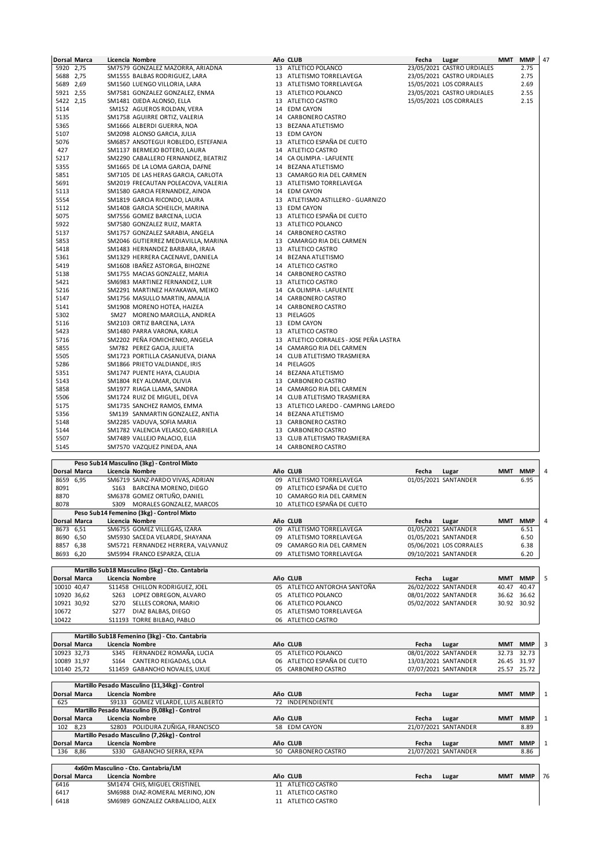| Dorsal Marca        |      |       | Licencia Nombre                            |    | Año CLUB                                | Fecha | Lugar                      | MMT | <b>MMP</b> | 47 |
|---------------------|------|-------|--------------------------------------------|----|-----------------------------------------|-------|----------------------------|-----|------------|----|
| 5920 2,75           |      |       | SM7579 GONZALEZ MAZORRA, ARIADNA           |    | 13 ATLETICO POLANCO                     |       | 23/05/2021 CASTRO URDIALES |     | 2.75       |    |
| 5688 2,75           |      |       | SM1555 BALBAS RODRIGUEZ, LARA              |    | 13 ATLETISMO TORRELAVEGA                |       | 23/05/2021 CASTRO URDIALES |     | 2.75       |    |
| 5689 2,69           |      |       | SM1560 LUENGO VILLORIA, LARA               |    | 13 ATLETISMO TORRELAVEGA                |       | 15/05/2021 LOS CORRALES    |     | 2.69       |    |
| 5921 2,55           |      |       | SM7581 GONZALEZ GONZALEZ, ENMA             |    | 13 ATLETICO POLANCO                     |       | 23/05/2021 CASTRO URDIALES |     | 2.55       |    |
| 5422 2,15           |      |       | SM1481 OJEDA ALONSO, ELLA                  |    | 13 ATLETICO CASTRO                      |       | 15/05/2021 LOS CORRALES    |     | 2.15       |    |
| 5114                |      |       | SM152 AGUEROS ROLDAN, VERA                 |    | 14 EDM CAYON                            |       |                            |     |            |    |
| 5135                |      |       | SM1758 AGUIRRE ORTIZ, VALERIA              |    | 14 CARBONERO CASTRO                     |       |                            |     |            |    |
| 5365                |      |       | SM1666 ALBERDI GUERRA, NOA                 |    | 13 BEZANA ATLETISMO                     |       |                            |     |            |    |
| 5107                |      |       | SM2098 ALONSO GARCIA, JULIA                |    | 13 EDM CAYON                            |       |                            |     |            |    |
| 5076                |      |       | SM6857 ANSOTEGUI ROBLEDO, ESTEFANIA        |    | 13 ATLETICO ESPAÑA DE CUETO             |       |                            |     |            |    |
| 427                 |      |       | SM1137 BERMEJO BOTERO, LAURA               |    | 14 ATLETICO CASTRO                      |       |                            |     |            |    |
| 5217                |      |       | SM2290 CABALLERO FERNANDEZ, BEATRIZ        |    | 14 CA OLIMPIA - LAFUENTE                |       |                            |     |            |    |
| 5355                |      |       | SM1665 DE LA LOMA GARCIA, DAFNE            |    | 14 BEZANA ATLETISMO                     |       |                            |     |            |    |
| 5851                |      |       | SM7105 DE LAS HERAS GARCIA, CARLOTA        |    | 13 CAMARGO RIA DEL CARMEN               |       |                            |     |            |    |
| 5691                |      |       | SM2019 FRECAUTAN POLEACOVA, VALERIA        |    | 13 ATLETISMO TORRELAVEGA                |       |                            |     |            |    |
| 5113                |      |       | SM1580 GARCIA FERNANDEZ, AINOA             |    | 14 EDM CAYON                            |       |                            |     |            |    |
| 5554                |      |       | SM1819 GARCIA RICONDO, LAURA               |    | 13 ATLETISMO ASTILLERO - GUARNIZO       |       |                            |     |            |    |
| 5112                |      |       | SM1408 GARCIA SCHEILCH, MARINA             |    | 13 EDM CAYON                            |       |                            |     |            |    |
| 5075                |      |       | SM7556 GOMEZ BARCENA, LUCIA                |    | 13 ATLETICO ESPAÑA DE CUETO             |       |                            |     |            |    |
| 5922                |      |       | SM7580 GONZALEZ RUIZ, MARTA                |    | 13 ATLETICO POLANCO                     |       |                            |     |            |    |
| 5137                |      |       | SM1757 GONZALEZ SARABIA, ANGELA            |    | 14 CARBONERO CASTRO                     |       |                            |     |            |    |
| 5853                |      |       | SM2046 GUTIERREZ MEDIAVILLA, MARINA        |    | 13 CAMARGO RIA DEL CARMEN               |       |                            |     |            |    |
| 5418                |      |       | SM1483 HERNANDEZ BARBARA, IRAIA            |    | 13 ATLETICO CASTRO                      |       |                            |     |            |    |
| 5361                |      |       | SM1329 HERRERA CACENAVE, DANIELA           |    | 14 BEZANA ATLETISMO                     |       |                            |     |            |    |
| 5419                |      |       | SM1608 IBAÑEZ ASTORGA, BIHOZNE             |    | 14 ATLETICO CASTRO                      |       |                            |     |            |    |
| 5138                |      |       | SM1755 MACIAS GONZALEZ, MARIA              |    | 14 CARBONERO CASTRO                     |       |                            |     |            |    |
| 5421                |      |       | SM6983 MARTINEZ FERNANDEZ, LUR             |    | 13 ATLETICO CASTRO                      |       |                            |     |            |    |
| 5216                |      |       | SM2291 MARTINEZ HAYAKAWA, MEIKO            |    | 14 CA OLIMPIA - LAFUENTE                |       |                            |     |            |    |
| 5147                |      |       | SM1756 MASULLO MARTIN, AMALIA              |    | 14 CARBONERO CASTRO                     |       |                            |     |            |    |
| 5141                |      |       | SM1908 MORENO HOTEA, HAIZEA                |    | 14 CARBONERO CASTRO                     |       |                            |     |            |    |
| 5302                |      |       | SM27 MORENO MARCILLA, ANDREA               |    | 13 PIELAGOS                             |       |                            |     |            |    |
| 5116                |      |       | SM2103 ORTIZ BARCENA, LAYA                 |    | 13 EDM CAYON                            |       |                            |     |            |    |
| 5423                |      |       | SM1480 PARRA VARONA, KARLA                 |    | 13 ATLETICO CASTRO                      |       |                            |     |            |    |
| 5716                |      |       | SM2202 PEÑA FOMICHENKO, ANGELA             |    | 13 ATLETICO CORRALES - JOSE PEÑA LASTRA |       |                            |     |            |    |
| 5855                |      |       | SM782 PEREZ GACIA, JULIETA                 |    | 14 CAMARGO RIA DEL CARMEN               |       |                            |     |            |    |
| 5505                |      |       | SM1723 PORTILLA CASANUEVA, DIANA           |    | 14 CLUB ATLETISMO TRASMIERA             |       |                            |     |            |    |
| 5286                |      |       | SM1866 PRIETO VALDIANDE, IRIS              |    | 14 PIELAGOS                             |       |                            |     |            |    |
| 5351                |      |       | SM1747 PUENTE HAYA, CLAUDIA                |    | 14 BEZANA ATLETISMO                     |       |                            |     |            |    |
| 5143                |      |       | SM1804 REY ALOMAR, OLIVIA                  |    | 13 CARBONERO CASTRO                     |       |                            |     |            |    |
| 5858                |      |       | SM1977 RIAGA LLAMA, SANDRA                 |    | 14 CAMARGO RIA DEL CARMEN               |       |                            |     |            |    |
| 5506                |      |       | SM1724 RUIZ DE MIGUEL, DEVA                |    | 14 CLUB ATLETISMO TRASMIERA             |       |                            |     |            |    |
| 5175                |      |       | SM1735 SANCHEZ RAMOS, EMMA                 |    | 13 ATLETICO LAREDO - CAMPING LAREDO     |       |                            |     |            |    |
| 5356<br>5148        |      |       | SM139 SANMARTIN GONZALEZ, ANTIA            |    | 14 BEZANA ATLETISMO                     |       |                            |     |            |    |
|                     |      |       | SM2285 VADUVA, SOFIA MARIA                 |    | 13 CARBONERO CASTRO                     |       |                            |     |            |    |
| 5144<br>5507        |      |       | SM1782 VALENCIA VELASCO, GABRIELA          |    | 13 CARBONERO CASTRO                     |       |                            |     |            |    |
|                     |      |       | SM7489 VALLEJO PALACIO, ELIA               |    | 13 CLUB ATLETISMO TRASMIERA             |       |                            |     |            |    |
| 5145                |      |       | SM7570 VAZQUEZ PINEDA, ANA                 |    | 14 CARBONERO CASTRO                     |       |                            |     |            |    |
|                     |      |       | Peso Sub14 Masculino (3kg) - Control Mixto |    |                                         |       |                            |     |            |    |
| Dorsal Marca        |      |       | Licencia Nombre                            |    | Año CLUB                                | Fecha | Lugar                      | MMT | <b>MMP</b> | 4  |
| 8659                | 6,95 |       | SM6719 SAINZ-PARDO VIVAS, ADRIAN           |    | 09 ATLETISMO TORRELAVEGA                |       | 01/05/2021 SANTANDER       |     | 6.95       |    |
| 8091                |      |       | S163 BARCENA MORENO, DIEGO                 |    | 09 ATLETICO ESPAÑA DE CUETO             |       |                            |     |            |    |
| 8870                |      |       | SM6378 GOMEZ ORTUÑO, DANIEL                | 10 | CAMARGO RIA DEL CARMEN                  |       |                            |     |            |    |
| 8078                |      |       | S309 MORALES GONZALEZ, MARCOS              |    | 10 ATLETICO ESPAÑA DE CUETO             |       |                            |     |            |    |
|                     |      |       | Peso Sub14 Femenino (3kg) - Control Mixto  |    |                                         |       |                            |     |            |    |
| <b>Dorsal Marca</b> |      |       | Licencia Nombre                            |    | Año CLUB                                | Fecha | Lugar                      |     | MMT MMP    | 4  |
|                     |      | 20777 | 0.011<br>FOAS ITABL                        |    | $C1$ ( $C2$ TODDEL ALIECA               |       |                            |     |            |    |

| 8673 6,51           |      | SM6755 GOMEZ VILLEGAS, IZARA                    | ATLETISMO TORRELAVEGA<br>09  | 01/05/2021 SANTANDER    |            | 6.51       |   |
|---------------------|------|-------------------------------------------------|------------------------------|-------------------------|------------|------------|---|
| 8690 6,50           |      | SM5930 SACEDA VELARDE, SHAYANA                  | ATLETISMO TORRELAVEGA<br>09  | 01/05/2021 SANTANDER    |            | 6.50       |   |
| 8857                | 6,38 | SM5721 FERNANDEZ HERRERA, VALVANUZ              | CAMARGO RIA DEL CARMEN<br>09 | 05/06/2021 LOS CORRALES |            | 6.38       |   |
| 8693 6,20           |      | SM5994 FRANCO ESPARZA, CELIA                    | 09 ATLETISMO TORRELAVEGA     | 09/10/2021 SANTANDER    |            | 6.20       |   |
|                     |      |                                                 |                              |                         |            |            |   |
|                     |      | Martillo Sub18 Masculino (5kg) - Cto. Cantabria |                              |                         |            |            |   |
| <b>Dorsal Marca</b> |      | Licencia Nombre                                 | Año CLUB                     | Fecha<br>Lugar          | <b>MMT</b> | <b>MMP</b> | 5 |
| 10010 40.47         |      | S11458 CHILLON RODRIGUEZ. JOEL                  | 05 ATLETICO ANTORCHA SANTOÑA | 26/02/2022 SANTANDER    | 40.47      | 40.47      |   |
| 10920 36,62         |      | LOPEZ OBREGON, ALVARO<br>S263                   | ATLETICO POLANCO<br>05       | 08/01/2022 SANTANDER    | 36.62      | 36.62      |   |
| 10921 30.92         |      | SELLES CORONA, MARIO<br>S270                    | ATLETICO POLANCO<br>06       | 05/02/2022 SANTANDER    | 30.92      | 30.92      |   |
| 10672               |      | DIAZ BALBAS, DIEGO<br>S277                      | 05 ATLETISMO TORRELAVEGA     |                         |            |            |   |
| 10422               |      | S11193 TORRE BILBAO, PABLO                      | 06 ATLETICO CASTRO           |                         |            |            |   |
|                     |      |                                                 |                              |                         |            |            |   |
|                     |      | Martillo Sub18 Femenino (3kg) - Cto. Cantabria  |                              |                         |            |            |   |
| <b>Dorsal Marca</b> |      | Licencia Nombre                                 | Año CLUB                     | Fecha<br>Lugar          | <b>MMT</b> | <b>MMP</b> | 3 |
| 10923 32,73         |      | FERNANDEZ ROMAÑA, LUCIA<br>S345                 | 05 ATLETICO POLANCO          | 08/01/2022 SANTANDER    | 32.73      | 32.73      |   |

| 10089 31,97 |                     | S164 CANTERO REIGADAS, LOLA                   | 06 ATLETICO ESPAÑA DE CUETO |       | 13/03/2021 SANTANDER |            | 26.45 31.97 |    |
|-------------|---------------------|-----------------------------------------------|-----------------------------|-------|----------------------|------------|-------------|----|
| 10140 25,72 |                     | S11459 GABANCHO NOVALES, UXUE                 | 05 CARBONERO CASTRO         |       | 07/07/2021 SANTANDER |            | 25.57 25.72 |    |
|             |                     |                                               |                             |       |                      |            |             |    |
|             |                     | Martillo Pesado Masculino (11,34kg) - Control |                             |       |                      |            |             |    |
|             | <b>Dorsal Marca</b> | Licencia Nombre                               | Año CLUB                    | Fecha | Lugar                | <b>MMT</b> | <b>MMP</b>  | 1  |
| 625         |                     | S9133 GOMEZ VELARDE, LUIS ALBERTO             | 72 INDEPENDIENTE            |       |                      |            |             |    |
|             |                     | Martillo Pesado Masculino (9,08kg) - Control  |                             |       |                      |            |             |    |
|             | <b>Dorsal Marca</b> | Licencia Nombre                               | Año CLUB                    | Fecha | Lugar                | <b>MMT</b> | <b>MMP</b>  | 1  |
|             | 102 8.23            | S2803 POLIDURA ZUÑIGA, FRANCISCO              | 58 EDM CAYON                |       | 21/07/2021 SANTANDER |            | 8.89        |    |
|             |                     | Martillo Pesado Masculino (7,26kg) - Control  |                             |       |                      |            |             |    |
|             | <b>Dorsal Marca</b> | Licencia Nombre                               | Año CLUB                    | Fecha | Lugar                | <b>MMT</b> | <b>MMP</b>  | 1  |
|             | 136 8,86            | S330 GABANCHO SIERRA, KEPA                    | 50 CARBONERO CASTRO         |       | 21/07/2021 SANTANDER |            | 8.86        |    |
|             |                     | 4x60m Masculino - Cto. Cantabria/LM           |                             |       |                      |            |             |    |
|             | <b>Dorsal Marca</b> | Licencia Nombre                               | Año CLUB                    | Fecha | Lugar                | <b>MMT</b> | <b>MMP</b>  | 76 |
| 6116        |                     | CM11474 CHIC MICHEL CDICTINEL                 | 11 ATLETICO CASTRO          |       |                      |            |             |    |

 $\overline{\phantom{a}}$ 

 $\begin{array}{lllllllllllllllllllll} \text{6416} & \text{SM1474 CHIS, MIGUEL CRISTINE} & \text{11 ATLETICO CASTRO} \ \text{6417} & \text{SM6988 DIAZ-ROMERAL MERNIO, JON} & \text{11 ATLETICO CASTRO} \ \text{6418} & \text{SM6989 GONZALEZ CARBALLIDO, ALEX} & \text{11 ATLETICO CASTRO} \end{array}$ SM6988 DIAZ-ROMERAL MERINO, JON 11 ATLETICO CASTRO 6418 SM6989 GONZALEZ CARBALLIDO, ALEX 11 ATLETICO CASTRO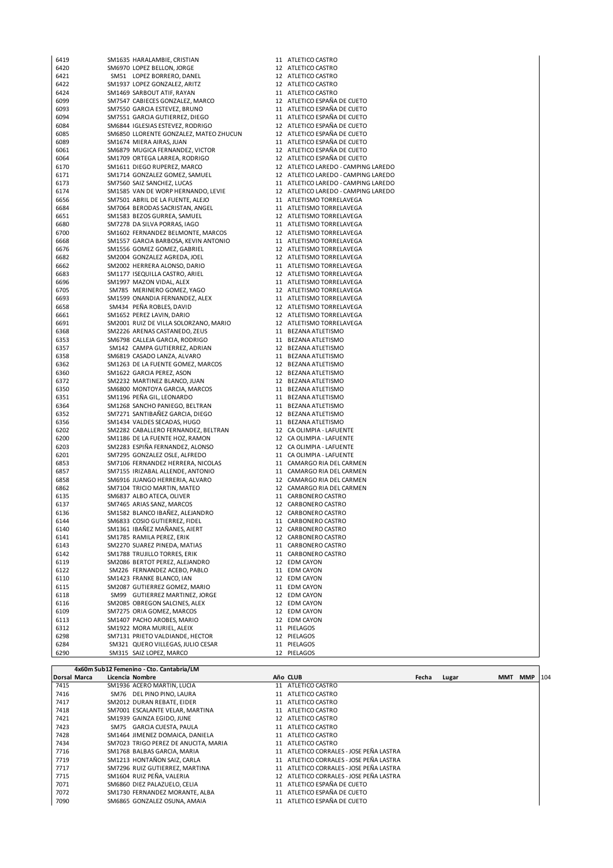| 6419 | SM1635 HARALAMBIE, CRISTIAN            | 11 ATLETICO CASTRO                  |  |
|------|----------------------------------------|-------------------------------------|--|
| 6420 | SM6970 LOPEZ BELLON, JORGE             | 12 ATLETICO CASTRO                  |  |
| 6421 | SM51 LOPEZ BORRERO, DANEL              | 12 ATLETICO CASTRO                  |  |
| 6422 | SM1937 LOPEZ GONZALEZ, ARITZ           | 12 ATLETICO CASTRO                  |  |
| 6424 | SM1469 SARBOUT ATIF, RAYAN             | 11 ATLETICO CASTRO                  |  |
| 6099 | SM7547 CABIECES GONZALEZ, MARCO        | 12 ATLETICO ESPAÑA DE CUETO         |  |
| 6093 | SM7550 GARCIA ESTEVEZ, BRUNO           | 11 ATLETICO ESPAÑA DE CUETO         |  |
| 6094 | SM7551 GARCIA GUTIERREZ, DIEGO         | 11 ATLETICO ESPAÑA DE CUETO         |  |
| 6084 | SM6844 IGLESIAS ESTEVEZ, RODRIGO       | 12 ATLETICO ESPAÑA DE CUETO         |  |
| 6085 | SM6850 LLORENTE GONZALEZ, MATEO ZHUCUN | 12 ATLETICO ESPAÑA DE CUETO         |  |
| 6089 | SM1674 MIERA AIRAS, JUAN               | 11 ATLETICO ESPAÑA DE CUETO         |  |
| 6061 | SM6879 MUGICA FERNANDEZ, VICTOR        | 12 ATLETICO ESPAÑA DE CUETO         |  |
| 6064 | SM1709 ORTEGA LARREA, RODRIGO          | 12 ATLETICO ESPAÑA DE CUETO         |  |
| 6170 | SM1611 DIEGO RUPEREZ, MARCO            | 12 ATLETICO LAREDO - CAMPING LAREDO |  |
| 6171 | SM1714 GONZALEZ GOMEZ, SAMUEL          | 12 ATLETICO LAREDO - CAMPING LAREDO |  |
| 6173 | SM7560 SAIZ SANCHEZ, LUCAS             | 11 ATLETICO LAREDO - CAMPING LAREDO |  |
| 6174 | SM1585 VAN DE WORP HERNANDO, LEVIE     | 12 ATLETICO LAREDO - CAMPING LAREDO |  |
| 6656 | SM7501 ABRIL DE LA FUENTE, ALEJO       | 11 ATLETISMO TORRELAVEGA            |  |
| 6684 | SM7064 BERODAS SACRISTAN, ANGEL        | 11 ATLETISMO TORRELAVEGA            |  |
| 6651 | SM1583 BEZOS GURREA, SAMUEL            | 12 ATLETISMO TORRELAVEGA            |  |
| 6680 | SM7278 DA SILVA PORRAS, IAGO           | 11 ATLETISMO TORRELAVEGA            |  |
| 6700 | SM1602 FERNANDEZ BELMONTE, MARCOS      | 12 ATLETISMO TORRELAVEGA            |  |
| 6668 | SM1557 GARCIA BARBOSA, KEVIN ANTONIO   | 11 ATLETISMO TORRELAVEGA            |  |
| 6676 | SM1556 GOMEZ GOMEZ, GABRIEL            | 12 ATLETISMO TORRELAVEGA            |  |
| 6682 | SM2004 GONZALEZ AGREDA, JOEL           | 12 ATLETISMO TORRELAVEGA            |  |
| 6662 | SM2002 HERRERA ALONSO, DARIO           | 11 ATLETISMO TORRELAVEGA            |  |
| 6683 | SM1177 ISEQUILLA CASTRO, ARIEL         | 12 ATLETISMO TORRELAVEGA            |  |
| 6696 | SM1997 MAZON VIDAL, ALEX               | 11 ATLETISMO TORRELAVEGA            |  |
| 6705 | SM785 MERINERO GOMEZ, YAGO             | 12 ATLETISMO TORRELAVEGA            |  |
| 6693 | SM1599 ONANDIA FERNANDEZ, ALEX         | 11 ATLETISMO TORRELAVEGA            |  |
| 6658 | SM434 PEÑA ROBLES, DAVID               | 12 ATLETISMO TORRELAVEGA            |  |
| 6661 | SM1652 PEREZ LAVIN, DARIO              | 12 ATLETISMO TORRELAVEGA            |  |
| 6691 | SM2001 RUIZ DE VILLA SOLORZANO, MARIO  | 12 ATLETISMO TORRELAVEGA            |  |
| 6368 | SM2226 ARENAS CASTANEDO, ZEUS          | 11 BEZANA ATLETISMO                 |  |
| 6353 | SM6798 CALLEJA GARCIA, RODRIGO         | 11 BEZANA ATLETISMO                 |  |
| 6357 | SM142 CAMPA GUTIERREZ, ADRIAN          | 12 BEZANA ATLETISMO                 |  |
| 6358 | SM6819 CASADO LANZA, ALVARO            | 11 BEZANA ATLETISMO                 |  |
| 6362 | SM1263 DE LA FUENTE GOMEZ, MARCOS      | 12 BEZANA ATLETISMO                 |  |
| 6360 | SM1622 GARCIA PEREZ, ASON              | 12 BEZANA ATLETISMO                 |  |
| 6372 | SM2232 MARTINEZ BLANCO, JUAN           | 12 BEZANA ATLETISMO                 |  |
| 6350 | SM6800 MONTOYA GARCIA, MARCOS          | 11 BEZANA ATLETISMO                 |  |
| 6351 | SM1196 PEÑA GIL, LEONARDO              | 11 BEZANA ATLETISMO                 |  |
| 6364 | SM1268 SANCHO PANIEGO, BELTRAN         | 11 BEZANA ATLETISMO                 |  |
| 6352 | SM7271 SANTIBAÑEZ GARCIA, DIEGO        | 12 BEZANA ATLETISMO                 |  |
| 6356 | SM1434 VALDES SECADAS, HUGO            | 11 BEZANA ATLETISMO                 |  |
| 6202 | SM2282 CABALLERO FERNANDEZ, BELTRAN    | 12 CA OLIMPIA - LAFUENTE            |  |
| 6200 | SM1186 DE LA FUENTE HOZ, RAMON         | 12 CA OLIMPIA - LAFUENTE            |  |
| 6203 | SM2283 ESPIÑA FERNANDEZ, ALONSO        | 12 CA OLIMPIA - LAFUENTE            |  |
| 6201 | SM7295 GONZALEZ OSLE, ALFREDO          | 11 CA OLIMPIA - LAFUENTE            |  |
| 6853 | SM7106 FERNANDEZ HERRERA, NICOLAS      | 11 CAMARGO RIA DEL CARMEN           |  |
| 6857 | SM7155 IRIZABAL ALLENDE, ANTONIO       | 11 CAMARGO RIA DEL CARMEN           |  |
| 6858 | SM6916 JUANGO HERRERIA, ALVARO         | 12 CAMARGO RIA DEL CARMEN           |  |
| 6862 | SM7104 TRICIO MARTIN, MATEO            | 12 CAMARGO RIA DEL CARMEN           |  |
| 6135 | SM6837 ALBO ATECA, OLIVER              | 11 CARBONERO CASTRO                 |  |
| 6137 | SM7465 ARIAS SANZ, MARCOS              | 12 CARBONERO CASTRO                 |  |
| 6136 | SM1582 BLANCO IBAÑEZ, ALEJANDRO        | 12 CARBONERO CASTRO                 |  |
| 6144 | SM6833 COSIO GUTIERREZ, FIDEL          | 11 CARBONERO CASTRO                 |  |
| 6140 | SM1361 IBAÑEZ MAÑANES, AIERT           | 12 CARBONERO CASTRO                 |  |
| 6141 | SM1785 RAMILA PEREZ, ERIK              | 12 CARBONERO CASTRO                 |  |
| 6143 | SM2270 SUAREZ PINEDA, MATIAS           | 11 CARBONERO CASTRO                 |  |
| 6142 | SM1788 TRUJILLO TORRES, ERIK           | 11 CARBONERO CASTRO                 |  |
| 6119 | SM2086 BERTOT PEREZ, ALEJANDRO         | 12 EDM CAYON                        |  |
| 6122 | SM226 FERNANDEZ ACEBO, PABLO           | 11 EDM CAYON                        |  |
| 6110 | SM1423 FRANKE BLANCO, IAN              | 12 EDM CAYON                        |  |
| 6115 | SM2087 GUTIERREZ GOMEZ, MARIO          | 11 EDM CAYON                        |  |
| 6118 | SM99 GUTIERREZ MARTINEZ, JORGE         | 12 EDM CAYON                        |  |
| 6116 | SM2085 OBREGON SALCINES, ALEX          | 12 EDM CAYON                        |  |
| 6109 | SM7275 ORIA GOMEZ, MARCOS              | 12 EDM CAYON                        |  |
| 6113 | SM1407 PACHO AROBES, MARIO             | 12 EDM CAYON                        |  |
| 6312 | SM1922 MORA MURIEL, ALEIX              | 11 PIELAGOS                         |  |
| 6298 | SM7131 PRIETO VALDIANDE, HECTOR        | 12 PIELAGOS                         |  |
| 6284 | SM321 QUERO VILLEGAS, JULIO CESAR      | 11 PIELAGOS                         |  |
| 6290 | SM315 SAIZ LOPEZ, MARCO                | 12 PIELAGOS                         |  |

|                     | 4x60m Sub12 Femenino - Cto. Cantabria/LM |                                         |       |       |            |            |     |
|---------------------|------------------------------------------|-----------------------------------------|-------|-------|------------|------------|-----|
| <b>Dorsal Marca</b> | Licencia Nombre                          | Año CLUB                                | Fecha | Lugar | <b>MMT</b> | <b>MMP</b> | 104 |
| 7415                | SM1936 ACERO MARTIN, LUCIA               | 11 ATLETICO CASTRO                      |       |       |            |            |     |
| 7416                | SM76 DEL PINO PINO, LAURA                | 11 ATLETICO CASTRO                      |       |       |            |            |     |
| 7417                | SM2012 DURAN REBATE, EIDER               | 11 ATLETICO CASTRO                      |       |       |            |            |     |
| 7418                | SM7001 ESCALANTE VELAR, MARTINA          | 11 ATLETICO CASTRO                      |       |       |            |            |     |
| 7421                | SM1939 GAINZA EGIDO, JUNE                | 12 ATLETICO CASTRO                      |       |       |            |            |     |
| 7423                | SM75 GARCIA CUESTA, PAULA                | 11 ATLETICO CASTRO                      |       |       |            |            |     |
| 7428                | SM1464 JIMENEZ DOMAICA, DANIELA          | 11 ATLETICO CASTRO                      |       |       |            |            |     |
| 7434                | SM7023 TRIGO PEREZ DE ANUCITA, MARIA     | 11 ATLETICO CASTRO                      |       |       |            |            |     |
| 7716                | SM1768 BALBAS GARCIA, MARIA              | 11 ATLETICO CORRALES - JOSE PEÑA LASTRA |       |       |            |            |     |
| 7719                | SM1213 HONTAÑON SAIZ, CARLA              | 11 ATLETICO CORRALES - JOSE PEÑA LASTRA |       |       |            |            |     |
| 7717                | SM7296 RUIZ GUTIERREZ, MARTINA           | 11 ATLETICO CORRALES - JOSE PEÑA LASTRA |       |       |            |            |     |
| 7715                | SM1604 RUIZ PEÑA, VALERIA                | 12 ATLETICO CORRALES - JOSE PEÑA LASTRA |       |       |            |            |     |
| 7071                | SM6860 DIEZ PALAZUELO, CELIA             | 11 ATLETICO ESPAÑA DE CUETO             |       |       |            |            |     |
| 7072                | SM1730 FERNANDEZ MORANTE, ALBA           | 11 ATLETICO ESPAÑA DE CUETO             |       |       |            |            |     |
| 7090                | SM6865 GONZALEZ OSUNA, AMAIA             | 11 ATLETICO ESPAÑA DE CUETO             |       |       |            |            |     |